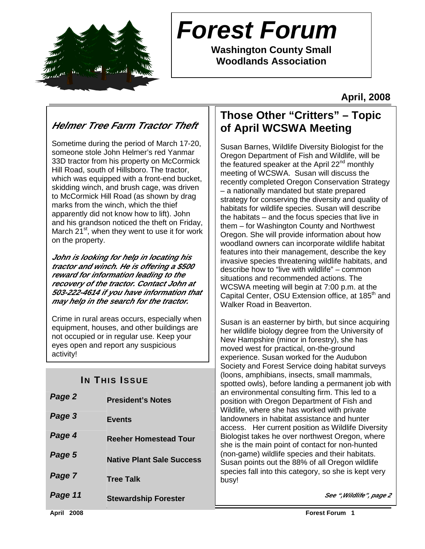

# **Forest Forum**

**Washington County Small Woodlands Association** 

**April, 2008** 

### **Helmer Tree Farm Tractor Theft**

Sometime during the period of March 17-20, someone stole John Helmer's red Yanmar 33D tractor from his property on McCormick Hill Road, south of Hillsboro. The tractor, which was equipped with a front-end bucket, skidding winch, and brush cage, was driven to McCormick Hill Road (as shown by drag marks from the winch, which the thief apparently did not know how to lift). John and his grandson noticed the theft on Friday, March  $21^{st}$ , when they went to use it for work on the property.

**John is looking for help in locating his tractor and winch. He is offering a \$500 reward for information leading to the recovery of the tractor. Contact John at 503-222-4614 if you have information that may help in the search for the tractor.** 

Crime in rural areas occurs, especially when equipment, houses, and other buildings are not occupied or in regular use. Keep your eyes open and report any suspicious activity!

### **IN THIS ISSUE**

| Page 2  | <b>President's Notes</b>         |  |
|---------|----------------------------------|--|
| Page 3  | <b>Events</b>                    |  |
| Page 4  | <b>Reeher Homestead Tour</b>     |  |
| Page 5  | <b>Native Plant Sale Success</b> |  |
| Page 7  | <b>Tree Talk</b>                 |  |
| Page 11 | <b>Stewardship Forester</b>      |  |

### **Those Other "Critters" – Topic of April WCSWA Meeting**

Susan Barnes, Wildlife Diversity Biologist for the Oregon Department of Fish and Wildlife, will be the featured speaker at the April  $22<sup>nd</sup>$  monthly meeting of WCSWA. Susan will discuss the recently completed Oregon Conservation Strategy – a nationally mandated but state prepared strategy for conserving the diversity and quality of habitats for wildlife species. Susan will describe the habitats – and the focus species that live in them – for Washington County and Northwest Oregon. She will provide information about how woodland owners can incorporate wildlife habitat features into their management, describe the key invasive species threatening wildlife habitats, and describe how to "live with wildlife" – common situations and recommended actions. The WCSWA meeting will begin at 7:00 p.m. at the Capital Center, OSU Extension office, at 185<sup>th</sup> and Walker Road in Beaverton.

Susan is an easterner by birth, but since acquiring her wildlife biology degree from the University of New Hampshire (minor in forestry), she has moved west for practical, on-the-ground experience. Susan worked for the Audubon Society and Forest Service doing habitat surveys (loons, amphibians, insects, small mammals, spotted owls), before landing a permanent job with an environmental consulting firm. This led to a position with Oregon Department of Fish and Wildlife, where she has worked with private landowners in habitat assistance and hunter access. Her current position as Wildlife Diversity Biologist takes he over northwest Oregon, where she is the main point of contact for non-hunted (non-game) wildlife species and their habitats. Susan points out the 88% of all Oregon wildlife species fall into this category, so she is kept very busy!

**See ",Wildlife", page 2**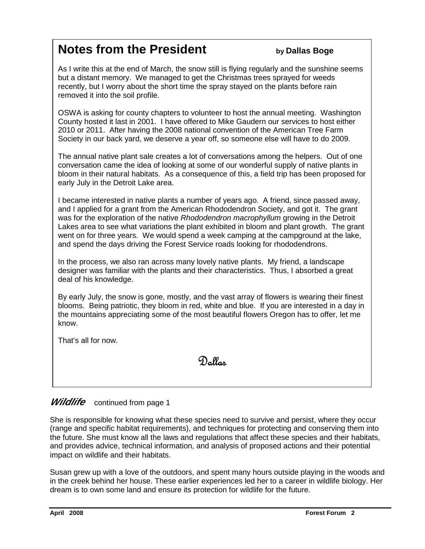## **Notes from the President by Dallas Boge**

As I write this at the end of March, the snow still is flying regularly and the sunshine seems but a distant memory. We managed to get the Christmas trees sprayed for weeds recently, but I worry about the short time the spray stayed on the plants before rain removed it into the soil profile.

OSWA is asking for county chapters to volunteer to host the annual meeting. Washington County hosted it last in 2001. I have offered to Mike Gaudern our services to host either 2010 or 2011. After having the 2008 national convention of the American Tree Farm Society in our back yard, we deserve a year off, so someone else will have to do 2009.

The annual native plant sale creates a lot of conversations among the helpers. Out of one conversation came the idea of looking at some of our wonderful supply of native plants in bloom in their natural habitats. As a consequence of this, a field trip has been proposed for early July in the Detroit Lake area.

I became interested in native plants a number of years ago. A friend, since passed away, and I applied for a grant from the American Rhododendron Society, and got it. The grant was for the exploration of the native Rhododendron macrophyllum growing in the Detroit Lakes area to see what variations the plant exhibited in bloom and plant growth. The grant went on for three years. We would spend a week camping at the campground at the lake, and spend the days driving the Forest Service roads looking for rhododendrons.

In the process, we also ran across many lovely native plants. My friend, a landscape designer was familiar with the plants and their characteristics. Thus, I absorbed a great deal of his knowledge.

By early July, the snow is gone, mostly, and the vast array of flowers is wearing their finest blooms. Being patriotic, they bloom in red, white and blue. If you are interested in a day in the mountains appreciating some of the most beautiful flowers Oregon has to offer, let me know.

That's all for now.

 $\overline{a}$ 

Dallas

#### **Wildlife** continued from page 1

She is responsible for knowing what these species need to survive and persist, where they occur (range and specific habitat requirements), and techniques for protecting and conserving them into the future. She must know all the laws and regulations that affect these species and their habitats, and provides advice, technical information, and analysis of proposed actions and their potential impact on wildlife and their habitats.

Susan grew up with a love of the outdoors, and spent many hours outside playing in the woods and in the creek behind her house. These earlier experiences led her to a career in wildlife biology. Her dream is to own some land and ensure its protection for wildlife for the future.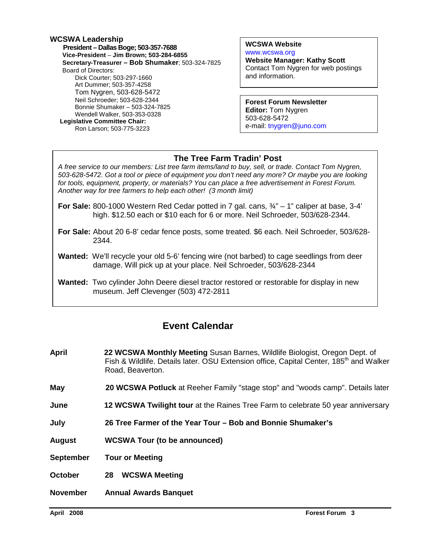#### **WCSWA Leadership President – Dallas Boge; 503-357-7688 Vice-President** – **Jim Brown; 503-284-6855 Secretary-Treasurer – Bob Shumaker**; 503-324-7825 Board of Directors: Dick Courter; 503-297-1660 Art Dummer; 503-357-4258 Tom Nygren, 503-628-5472 Neil Schroeder; 503-628-2344 Bonnie Shumaker – 503-324-7825 Wendell Walker, 503-353-0328  **Legislative Committee Chair:**  Ron Larson; 503-775-3223

**WCSWA Website** www.wcswa.org **Website Manager: Kathy Scott** Contact Tom Nygren for web postings and information.

**Forest Forum Newsletter Editor:** Tom Nygren 503-628-5472 e-mail: tnygren@juno.com

#### **The Tree Farm Tradin' Post**

 for tools, equipment, property, or materials? You can place a free advertisement in Forest Forum. A free service to our members: List tree farm items/land to buy, sell, or trade. Contact Tom Nygren, 503-628-5472. Got a tool or piece of equipment you don't need any more? Or maybe you are looking Another way for tree farmers to help each other! (3 month limit)

- **For Sale:** 800-1000 Western Red Cedar potted in 7 gal. cans,  $\frac{3}{4}$ " 1" caliper at base, 3-4' high. \$12.50 each or \$10 each for 6 or more. Neil Schroeder, 503/628-2344.
- **For Sale:** About 20 6-8' cedar fence posts, some treated. \$6 each. Neil Schroeder, 503/628- 2344.
- **Wanted:** We'll recycle your old 5-6' fencing wire (not barbed) to cage seedlings from deer damage. Will pick up at your place. Neil Schroeder, 503/628-2344
- **Wanted:** Two cylinder John Deere diesel tractor restored or restorable for display in new museum. Jeff Clevenger (503) 472-2811

### **Event Calendar**

- **April 22 WCSWA Monthly Meeting** Susan Barnes, Wildlife Biologist, Oregon Dept. of Fish & Wildlife. Details later. OSU Extension office, Capital Center, 185<sup>th</sup> and Walker Road, Beaverton.
- **May 20 WCSWA Potluck** at Reeher Family "stage stop" and "woods camp". Details later
- **June 12 WCSWA Twilight tour** at the Raines Tree Farm to celebrate 50 year anniversary
- **July 26 Tree Farmer of the Year Tour Bob and Bonnie Shumaker's**
- **August WCSWA Tour (to be announced)**
- **September Tour or Meeting**
- **October 28 WCSWA Meeting**
- **November Annual Awards Banquet**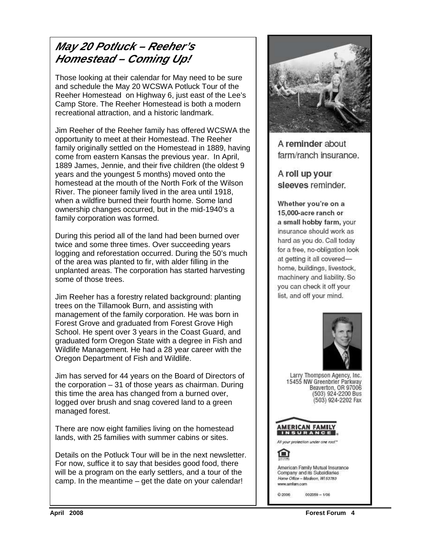### **May 20 Potluck – Reeher's Homestead – Coming Up!**

Those looking at their calendar for May need to be sure and schedule the May 20 WCSWA Potluck Tour of the Reeher Homestead on Highway 6, just east of the Lee's Camp Store. The Reeher Homestead is both a modern recreational attraction, and a historic landmark.

Jim Reeher of the Reeher family has offered WCSWA the opportunity to meet at their Homestead. The Reeher family originally settled on the Homestead in 1889, having come from eastern Kansas the previous year. In April, 1889 James, Jennie, and their five children (the oldest 9 years and the youngest 5 months) moved onto the homestead at the mouth of the North Fork of the Wilson River. The pioneer family lived in the area until 1918, when a wildfire burned their fourth home. Some land ownership changes occurred, but in the mid-1940's a family corporation was formed.

During this period all of the land had been burned over twice and some three times. Over succeeding years logging and reforestation occurred. During the 50's much of the area was planted to fir, with alder filling in the unplanted areas. The corporation has started harvesting some of those trees.

Jim Reeher has a forestry related background: planting trees on the Tillamook Burn, and assisting with management of the family corporation. He was born in Forest Grove and graduated from Forest Grove High School. He spent over 3 years in the Coast Guard, and graduated form Oregon State with a degree in Fish and Wildlife Management. He had a 28 year career with the Oregon Department of Fish and Wildlife.

Jim has served for 44 years on the Board of Directors of the corporation – 31 of those years as chairman. During this time the area has changed from a burned over, logged over brush and snag covered land to a green managed forest.

There are now eight families living on the homestead lands, with 25 families with summer cabins or sites.

Details on the Potluck Tour will be in the next newsletter. For now, suffice it to say that besides good food, there will be a program on the early settlers, and a tour of the camp. In the meantime – get the date on your calendar!



A reminder about farm/ranch insurance.

A roll up your sleeves reminder.

Whether you're on a 15,000-acre ranch or a small hobby farm, your insurance should work as hard as you do. Call today for a free, no-obligation look at getting it all coveredhome, buildings, livestock, machinery and liability. So you can check it off your list, and off your mind.



Larry Thompson Agency, Inc. 15455 NW Greenbrier Parkway<br>Beaverton, OR 97006 (503) 924-2200 Bus (503) 924-2202 Fax



All your protection under one roof\*

American Family Mutual Insurance Company and its Subsidiaries Home Office - Madison, W153783 www.amfam.com

 $002059 - 1/06$ @2006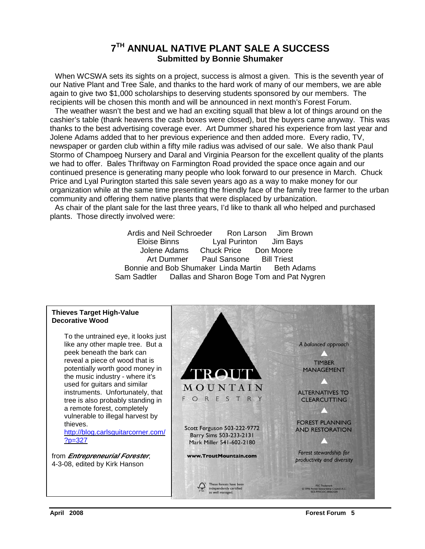#### **7 TH ANNUAL NATIVE PLANT SALE A SUCCESS Submitted by Bonnie Shumaker**

When WCSWA sets its sights on a project, success is almost a given. This is the seventh year of our Native Plant and Tree Sale, and thanks to the hard work of many of our members, we are able again to give two \$1,000 scholarships to deserving students sponsored by our members. The recipients will be chosen this month and will be announced in next month's Forest Forum.

 The weather wasn't the best and we had an exciting squall that blew a lot of things around on the cashier's table (thank heavens the cash boxes were closed), but the buyers came anyway. This was thanks to the best advertising coverage ever. Art Dummer shared his experience from last year and Jolene Adams added that to her previous experience and then added more. Every radio, TV, newspaper or garden club within a fifty mile radius was advised of our sale. We also thank Paul Stormo of Champoeg Nursery and Daral and Virginia Pearson for the excellent quality of the plants we had to offer. Bales Thriftway on Farmington Road provided the space once again and our continued presence is generating many people who look forward to our presence in March. Chuck Price and Lyal Purington started this sale seven years ago as a way to make money for our organization while at the same time presenting the friendly face of the family tree farmer to the urban community and offering them native plants that were displaced by urbanization.

 As chair of the plant sale for the last three years, I'd like to thank all who helped and purchased plants. Those directly involved were:

> Ardis and Neil Schroeder Ron Larson Jim Brown Eloise Binns Lyal Purinton Jim Bays Jolene Adams Chuck Price Don Moore Art Dummer Paul Sansone Bill Triest Bonnie and Bob Shumaker Linda Martin Beth Adams Sam Sadtler Dallas and Sharon Boge Tom and Pat Nygren

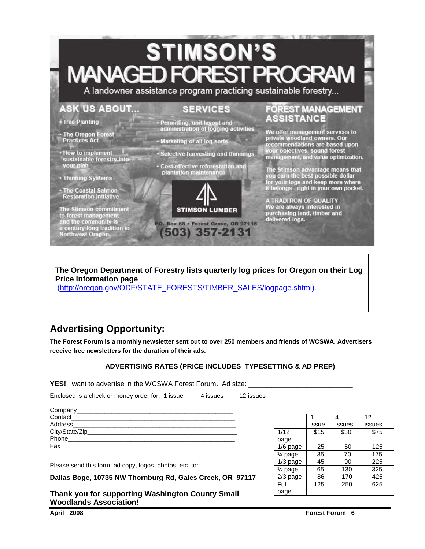## **STIMSON'S MANAGED FOREST OGR**

A landowner assistance program practicing sustainable forestry...

#### **ASK US ABOUT...**

#### **SERVICES**

• Tree Planting

• The Oregon Forest **Practices Act** 

• How to implement sustainable forestry into your plan

• Thinning Systems

The Coastal Salmon<br>Restoration Initiative

The Stimson commitment<br>to forest management<br>and the community is a century-long tradition in<br>Northwest Oregon. - Permitting, unit layout and administration of logging activities

- · Marketing of all log sorts
- Selective harvesting and thinnings
- · Cost-effective reforestation and plantation maintenance



P.O. Box 68 · Forest Grove, OR 97116 (503) 357-2131

#### **FOREST MANAGEMENT** ASSISTANCE

We offer management services to<br>private woodland owners. Our<br>recommendations are based upon your objectives, sound forest<br>management, and value optimization.

The Stimson advantage means that<br>you earn the best possible dollar<br>for your logs and keep more where<br>it belongs - right in your own pocket.

A TRADITION OF QUALITY<br>We are always interested in purchasing land, timber and delivered logs.

#### **The Oregon Department of Forestry lists quarterly log prices for Oregon on their Log Price Information page**

(http://oregon.gov/ODF/STATE\_FORESTS/TIMBER\_SALES/logpage.shtml).

### **Advertising Opportunity:**

**The Forest Forum is a monthly newsletter sent out to over 250 members and friends of WCSWA. Advertisers receive free newsletters for the duration of their ads.** 

#### **ADVERTISING RATES (PRICE INCLUDES TYPESETTING & AD PREP)**

**YES!** I want to advertise in the WCSWA Forest Forum. Ad size:

Enclosed is a check or money order for: 1 issue \_\_\_ 4 issues \_\_\_ 12 issues \_\_\_

| Company__________             |
|-------------------------------|
| Contact                       |
| Address____                   |
| City/State/Zip_______________ |
| Phone                         |
| Fax                           |
|                               |

Please send this form, ad copy, logos, photos, etc. to:

**Dallas Boge, 10735 NW Thornburg Rd, Gales Creek, OR 97117** 

**Thank you for supporting Washington County Small Woodlands Association!** 

|                      |       | 4      | 12     |
|----------------------|-------|--------|--------|
|                      | issue | issues | issues |
| 1/12                 | \$15  | \$30   | \$75   |
| page                 |       |        |        |
| $1/6$ page           | 25    | 50     | 125    |
| 1⁄4 page             | 35    | 70     | 175    |
| $1/3$ page           | 45    | 90     | 225    |
| 1/ <sub>2</sub> page | 65    | 130    | 325    |
| $2/3$ page           | 86    | 170    | 425    |
| Full                 | 125   | 250    | 625    |
| page                 |       |        |        |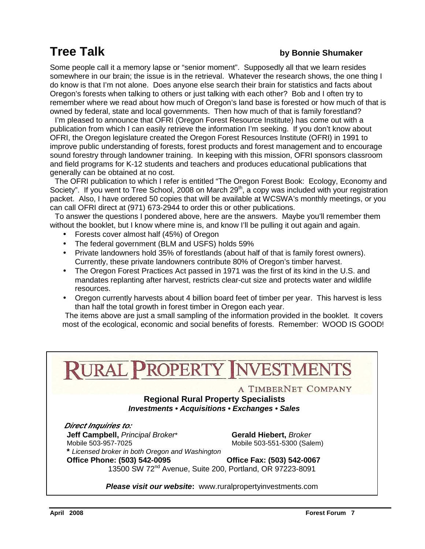### **Tree Talk by Bonnie Shumaker**

Some people call it a memory lapse or "senior moment". Supposedly all that we learn resides somewhere in our brain; the issue is in the retrieval. Whatever the research shows, the one thing I do know is that I'm not alone. Does anyone else search their brain for statistics and facts about Oregon's forests when talking to others or just talking with each other? Bob and I often try to remember where we read about how much of Oregon's land base is forested or how much of that is owned by federal, state and local governments. Then how much of that is family forestland?

 I'm pleased to announce that OFRI (Oregon Forest Resource Institute) has come out with a publication from which I can easily retrieve the information I'm seeking. If you don't know about OFRI, the Oregon legislature created the Oregon Forest Resources Institute (OFRI) in 1991 to improve public understanding of forests, forest products and forest management and to encourage sound forestry through landowner training. In keeping with this mission, OFRI sponsors classroom and field programs for K-12 students and teachers and produces educational publications that generally can be obtained at no cost.

 The OFRI publication to which I refer is entitled "The Oregon Forest Book: Ecology, Economy and Society". If you went to Tree School, 2008 on March 29<sup>th</sup>, a copy was included with your registration packet. Also, I have ordered 50 copies that will be available at WCSWA's monthly meetings, or you can call OFRI direct at (971) 673-2944 to order this or other publications.

 To answer the questions I pondered above, here are the answers. Maybe you'll remember them without the booklet, but I know where mine is, and know I'll be pulling it out again and again.

- Forests cover almost half (45%) of Oregon
- The federal government (BLM and USFS) holds 59%
- Private landowners hold 35% of forestlands (about half of that is family forest owners). Currently, these private landowners contribute 80% of Oregon's timber harvest.
- The Oregon Forest Practices Act passed in 1971 was the first of its kind in the U.S. and mandates replanting after harvest, restricts clear-cut size and protects water and wildlife resources.
- Oregon currently harvests about 4 billion board feet of timber per year. This harvest is less than half the total growth in forest timber in Oregon each year.

 The items above are just a small sampling of the information provided in the booklet. It covers most of the ecological, economic and social benefits of forests. Remember: WOOD IS GOOD!

**JRAL PROPERTY NVESTMEI** A TIMBERNET COMPANY **Regional Rural Property Specialists Investments • Acquisitions • Exchanges • Sales Direct Inquiries to: Jeff Campbell,** Principal Broker\* **Gerald Hiebert,** Broker Mobile 503-957-7025Mobile 503-551-5300 (Salem)  **\*** Licensed broker in both Oregon and Washington **Office Phone: (503) 542-0095 Office Fax: (503) 542-0067**  13500 SW 72nd Avenue, Suite 200, Portland, OR 97223-8091 **Please visit our website:** www.ruralpropertyinvestments.com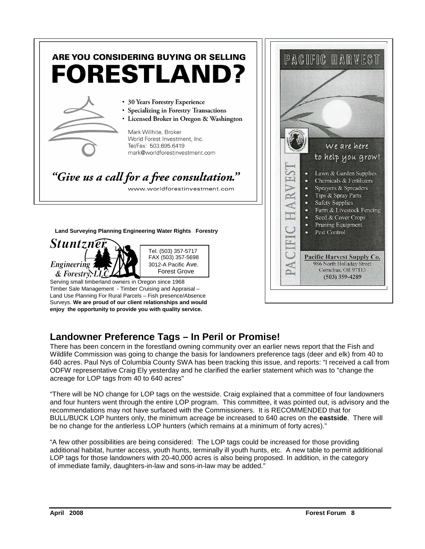

### **Landowner Preference Tags – In Peril or Promise!**

There has been concern in the forestland owning community over an earlier news report that the Fish and Wildlife Commission was going to change the basis for landowners preference tags (deer and elk) from 40 to 640 acres. Paul Nys of Columbia County SWA has been tracking this issue, and reports: "I received a call from ODFW representative Craig Ely yesterday and he clarified the earlier statement which was to "change the acreage for LOP tags from 40 to 640 acres"

"There will be NO change for LOP tags on the westside. Craig explained that a committee of four landowners and four hunters went through the entire LOP program. This committee, it was pointed out, is advisory and the recommendations may not have surfaced with the Commissioners. It is RECOMMENDED that for BULL/BUCK LOP hunters only, the minimum acreage be increased to 640 acres on the **eastside**. There will be no change for the antlerless LOP hunters (which remains at a minimum of forty acres)."

"A few other possibilities are being considered: The LOP tags could be increased for those providing additional habitat, hunter access, youth hunts, terminally ill youth hunts, etc. A new table to permit additional LOP tags for those landowners with 20-40,000 acres is also being proposed. In addition, in the category of immediate family, daughters-in-law and sons-in-law may be added."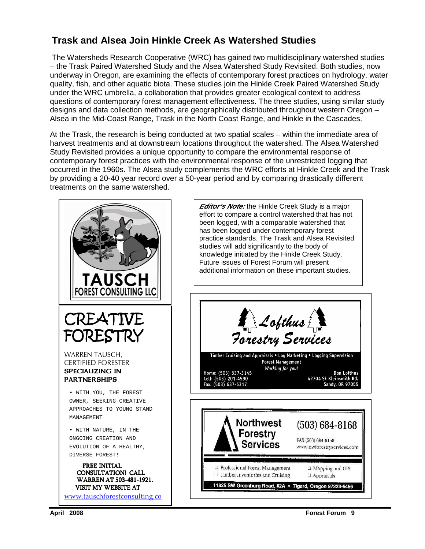#### **Trask and Alsea Join Hinkle Creek As Watershed Studies**

The Watersheds Research Cooperative (WRC) has gained two multidisciplinary watershed studies – the Trask Paired Watershed Study and the Alsea Watershed Study Revisited. Both studies, now underway in Oregon, are examining the effects of contemporary forest practices on hydrology, water quality, fish, and other aquatic biota. These studies join the Hinkle Creek Paired Watershed Study under the WRC umbrella, a collaboration that provides greater ecological context to address questions of contemporary forest management effectiveness. The three studies, using similar study designs and data collection methods, are geographically distributed throughout western Oregon – Alsea in the Mid-Coast Range, Trask in the North Coast Range, and Hinkle in the Cascades.

At the Trask, the research is being conducted at two spatial scales – within the immediate area of harvest treatments and at downstream locations throughout the watershed. The Alsea Watershed Study Revisited provides a unique opportunity to compare the environmental response of contemporary forest practices with the environmental response of the unrestricted logging that occurred in the 1960s. The Alsea study complements the WRC efforts at Hinkle Creek and the Trask by providing a 20-40 year record over a 50-year period and by comparing drastically different treatments on the same watershed.

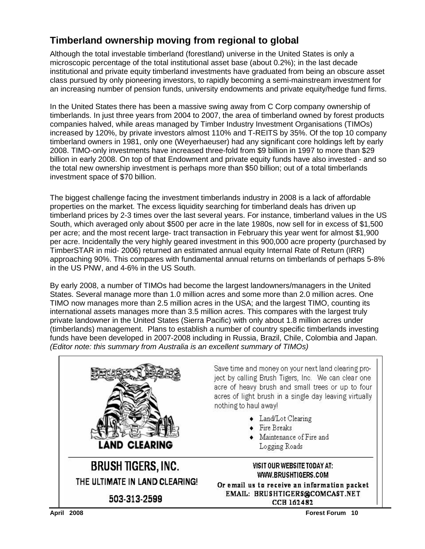### **Timberland ownership moving from regional to global**

Although the total investable timberland (forestland) universe in the United States is only a microscopic percentage of the total institutional asset base (about 0.2%); in the last decade institutional and private equity timberland investments have graduated from being an obscure asset class pursued by only pioneering investors, to rapidly becoming a semi-mainstream investment for an increasing number of pension funds, university endowments and private equity/hedge fund firms.

In the United States there has been a massive swing away from C Corp company ownership of timberlands. In just three years from 2004 to 2007, the area of timberland owned by forest products companies halved, while areas managed by Timber Industry Investment Organisations (TIMOs) increased by 120%, by private investors almost 110% and T-REITS by 35%. Of the top 10 company timberland owners in 1981, only one (Weyerhaeuser) had any significant core holdings left by early 2008. TIMO-only investments have increased three-fold from \$9 billion in 1997 to more than \$29 billion in early 2008. On top of that Endowment and private equity funds have also invested - and so the total new ownership investment is perhaps more than \$50 billion; out of a total timberlands investment space of \$70 billion.

The biggest challenge facing the investment timberlands industry in 2008 is a lack of affordable properties on the market. The excess liquidity searching for timberland deals has driven up timberland prices by 2-3 times over the last several years. For instance, timberland values in the US South, which averaged only about \$500 per acre in the late 1980s, now sell for in excess of \$1,500 per acre; and the most recent large- tract transaction in February this year went for almost \$1,900 per acre. Incidentally the very highly geared investment in this 900,000 acre property (purchased by TimberSTAR in mid- 2006) returned an estimated annual equity Internal Rate of Return (IRR) approaching 90%. This compares with fundamental annual returns on timberlands of perhaps 5-8% in the US PNW, and 4-6% in the US South.

By early 2008, a number of TIMOs had become the largest landowners/managers in the United States. Several manage more than 1.0 million acres and some more than 2.0 million acres. One TIMO now manages more than 2.5 million acres in the USA; and the largest TIMO, counting its international assets manages more than 3.5 million acres. This compares with the largest truly private landowner in the United States (Sierra Pacific) with only about 1.8 million acres under (timberlands) management. Plans to establish a number of country specific timberlands investing funds have been developed in 2007-2008 including in Russia, Brazil, Chile, Colombia and Japan. (Editor note: this summary from Australia is an excellent summary of TIMOs)

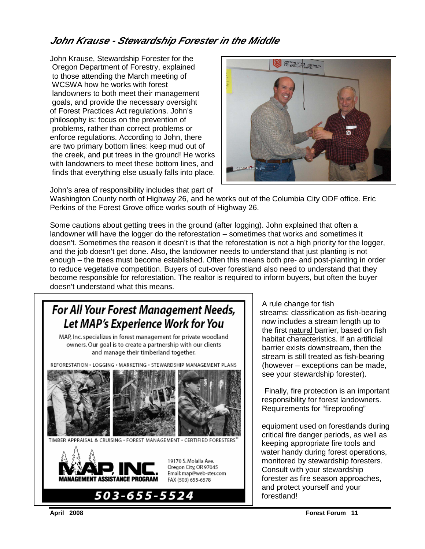#### **John Krause - Stewardship Forester in the Middle**

John Krause, Stewardship Forester for the Oregon Department of Forestry, explained to those attending the March meeting of WCSWA how he works with forest landowners to both meet their management goals, and provide the necessary oversight of Forest Practices Act regulations. John's philosophy is: focus on the prevention of problems, rather than correct problems or enforce regulations. According to John, there are two primary bottom lines: keep mud out of the creek, and put trees in the ground! He works with landowners to meet these bottom lines, and finds that everything else usually falls into place.

John's area of responsibility includes that part of



Washington County north of Highway 26, and he works out of the Columbia City ODF office. Eric Perkins of the Forest Grove office works south of Highway 26.

Some cautions about getting trees in the ground (after logging). John explained that often a landowner will have the logger do the reforestation – sometimes that works and sometimes it doesn't. Sometimes the reason it doesn't is that the reforestation is not a high priority for the logger, and the job doesn't get done. Also, the landowner needs to understand that just planting is not enough – the trees must become established. Often this means both pre- and post-planting in order to reduce vegetative competition. Buyers of cut-over forestland also need to understand that they become responsible for reforestation. The realtor is required to inform buyers, but often the buyer doesn't understand what this means.

#### $\mathbf{F}_{\text{new}}$  a *H*  $\mathbf{V}_{\text{new}}$  **F**  $\mathbf{F}_{\text{new}}$  **C**  $\mathbf{M}_{\text{new}}$  are seen such  $\mathbf{N}_{\text{new}}$  and  $\mathbf{V}_{\text{new}}$  and  $\mathbf{V}_{\text{new}}$  are set  $\mathbf{M}_{\text{new}}$  and  $\mathbf{V}_{\text{new}}$  are set  $\mathbf{N}_{\text{new}}$  and  $\mathbf{V}_{\text{new}}$  are set **FOF AII TOUF FOFESt MUITUGEMENT NEEUS,** | streams: classification as fish-bearing Let MAP's Experience Work for You  $\|\cdot\|$  now includes a stream length up to

R, Inc. specializes in forest management for private woodland<br>owners. Our goal is to create a partnership with our clients<br>and the suite alguments are then then our goal is to create a partnership with our clients<br>and manage their timberland together.

REFORESTATION · LOGGING · MARKETING · STEWARDSHIP MANAGEMENT PLANS  $\vert \ \vert$  (however – exceptions can be made,





**EXPERIEU IFOR TOP TOW**<br>MAP Inc. specializes in forest management for private woodland stream is still treated as fish-bearing see your stewardship forester).

> Finally, fire protection is an important responsibility for forest landowners. Requirements for "fireproofing"

 equipment used on forestlands during keeping appropriate fire tools and water handy during forest operations, 19170 S. Molalla Ave. **Exercise 1918 monitored by stewardship foresters.**<br>Oregon City, OR 97045 **Connect by Connect Avenue of the state of the SC** Oregon City, OR 97045<br>Email: map@web-ster.com **CONSULT With your stewardship** and protect yourself and your

Ī